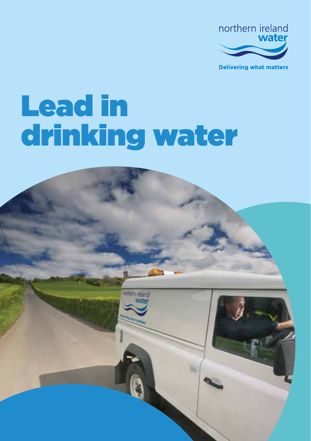

**Delivering what matters** 

# Lead in drinking water

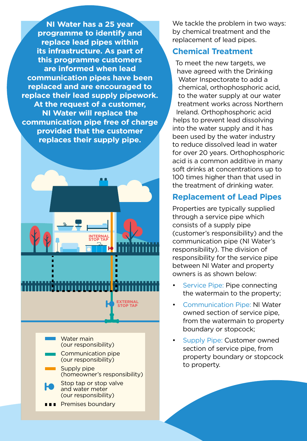**NI Water has a 25 year programme to identify and replace lead pipes within its infrastructure. As part of this programme customers are informed when lead communication pipes have been replaced and are encouraged to replace their lead supply pipework. At the request of a customer, NI Water will replace the communication pipe free of charge provided that the customer replaces their supply pipe.**



# ,,,,,,,,,,,, **EXTERNAL**

**STOP TAP**

Water main (our responsibility) Communication pipe (our responsibility) Supply pipe

(homeowner's responsibility) Stop tap or stop valve

and water meter (our responsibility)

**Brandary** Premises boundary

We tackle the problem in two ways: by chemical treatment and the replacement of lead pipes.

#### **Chemical Treatment**

To meet the new targets, we have agreed with the Drinking Water Inspectorate to add a chemical, orthophosphoric acid, to the water supply at our water treatment works across Northern Ireland. Orthophosphoric acid helps to prevent lead dissolving into the water supply and it has been used by the water industry to reduce dissolved lead in water for over 20 years. Orthophosphoric acid is a common additive in many soft drinks at concentrations up to 100 times higher than that used in the treatment of drinking water.

#### **Replacement of Lead Pipes**

Properties are typically supplied through a service pipe which consists of a supply pipe (customer's responsibility) and the communication pipe (NI Water's responsibility). The division of responsibility for the service pipe between NI Water and property owners is as shown below:

- Service Pipe: Pipe connecting the watermain to the property;
- Communication Pipe: NI Water owned section of service pipe, from the watermain to property boundary or stopcock;
- Supply Pipe: Customer owned section of service pipe, from property boundary or stopcock to property.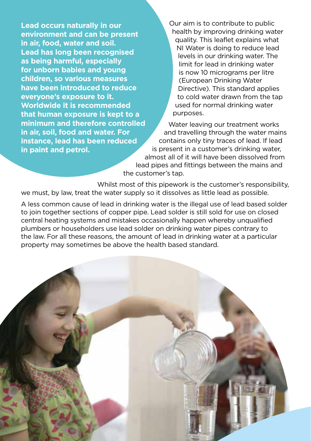**Lead occurs naturally in our environment and can be present in air, food, water and soil. Lead has long been recognised as being harmful, especially for unborn babies and young children, so various measures have been introduced to reduce everyone's exposure to it. Worldwide it is recommended that human exposure is kept to a minimum and therefore controlled in air, soil, food and water. For instance, lead has been reduced in paint and petrol.**

Our aim is to contribute to public health by improving drinking water quality. This leaflet explains what NI Water is doing to reduce lead levels in our drinking water. The limit for lead in drinking water is now 10 micrograms per litre (European Drinking Water Directive). This standard applies to cold water drawn from the tap used for normal drinking water purposes.

Water leaving our treatment works and travelling through the water mains contains only tiny traces of lead. If lead is present in a customer's drinking water, almost all of it will have been dissolved from lead pipes and fittings between the mains and the customer's tap.

Whilst most of this pipework is the customer's responsibility, we must, by law, treat the water supply so it dissolves as little lead as possible.

A less common cause of lead in drinking water is the illegal use of lead based solder to join together sections of copper pipe. Lead solder is still sold for use on closed central heating systems and mistakes occasionally happen whereby unqualified plumbers or householders use lead solder on drinking water pipes contrary to the law. For all these reasons, the amount of lead in drinking water at a particular property may sometimes be above the health based standard.

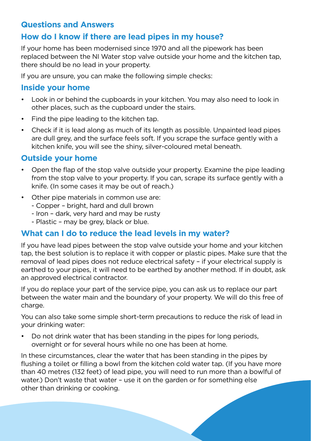#### **Questions and Answers**

# **How do I know if there are lead pipes in my house?**

If your home has been modernised since 1970 and all the pipework has been replaced between the NI Water stop valve outside your home and the kitchen tap, there should be no lead in your property.

If you are unsure, you can make the following simple checks:

## **Inside your home**

- Look in or behind the cupboards in your kitchen. You may also need to look in other places, such as the cupboard under the stairs.
- Find the pipe leading to the kitchen tap.
- Check if it is lead along as much of its length as possible. Unpainted lead pipes are dull grey, and the surface feels soft. If you scrape the surface gently with a kitchen knife, you will see the shiny, silver-coloured metal beneath.

### **Outside your home**

- Open the flap of the stop valve outside your property. Examine the pipe leading from the stop valve to your property. If you can, scrape its surface gently with a knife. (In some cases it may be out of reach.)
- Other pipe materials in common use are:
	- Copper bright, hard and dull brown
	- Iron dark, very hard and may be rusty
	- Plastic may be grey, black or blue.

#### **What can I do to reduce the lead levels in my water?**

If you have lead pipes between the stop valve outside your home and your kitchen tap, the best solution is to replace it with copper or plastic pipes. Make sure that the removal of lead pipes does not reduce electrical safety – if your electrical supply is earthed to your pipes, it will need to be earthed by another method. If in doubt, ask an approved electrical contractor.

If you do replace your part of the service pipe, you can ask us to replace our part between the water main and the boundary of your property. We will do this free of charge.

You can also take some simple short-term precautions to reduce the risk of lead in your drinking water:

• Do not drink water that has been standing in the pipes for long periods, overnight or for several hours while no one has been at home.

In these circumstances, clear the water that has been standing in the pipes by flushing a toilet or filling a bowl from the kitchen cold water tap. (If you have more than 40 metres (132 feet) of lead pipe, you will need to run more than a bowlful of water.) Don't waste that water – use it on the garden or for something else other than drinking or cooking.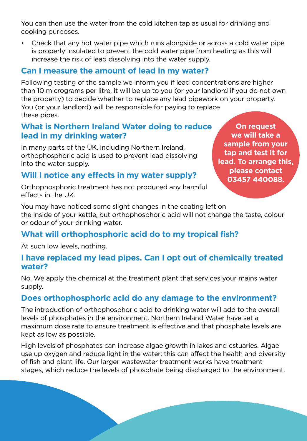You can then use the water from the cold kitchen tap as usual for drinking and cooking purposes.

• Check that any hot water pipe which runs alongside or across a cold water pipe is properly insulated to prevent the cold water pipe from heating as this will increase the risk of lead dissolving into the water supply.

#### **Can I measure the amount of lead in my water?**

Following testing of the sample we inform you if lead concentrations are higher than 10 micrograms per litre, it will be up to you (or your landlord if you do not own the property) to decide whether to replace any lead pipework on your property. You (or your landlord) will be responsible for paying to replace these pipes.

#### **What is Northern Ireland Water doing to reduce lead in my drinking water?**

In many parts of the UK, including Northern Ireland, orthophosphoric acid is used to prevent lead dissolving into the water supply.

#### **Will I notice any effects in my water supply?**

Orthophosphoric treatment has not produced any harmful effects in the UK.

**On request we will take a sample from your tap and test it for lead. To arrange this, please contact 03457 440088.**

You may have noticed some slight changes in the coating left on the inside of your kettle, but orthophosphoric acid will not change the taste, colour or odour of your drinking water.

# **What will orthophosphoric acid do to my tropical fish?**

At such low levels, nothing.

#### **I have replaced my lead pipes. Can I opt out of chemically treated water?**

No. We apply the chemical at the treatment plant that services your mains water supply.

# **Does orthophosphoric acid do any damage to the environment?**

The introduction of orthophosphoric acid to drinking water will add to the overall levels of phosphates in the environment. Northern Ireland Water have set a maximum dose rate to ensure treatment is effective and that phosphate levels are kept as low as possible.

High levels of phosphates can increase algae growth in lakes and estuaries. Algae use up oxygen and reduce light in the water: this can affect the health and diversity of fish and plant life. Our larger wastewater treatment works have treatment stages, which reduce the levels of phosphate being discharged to the environment.